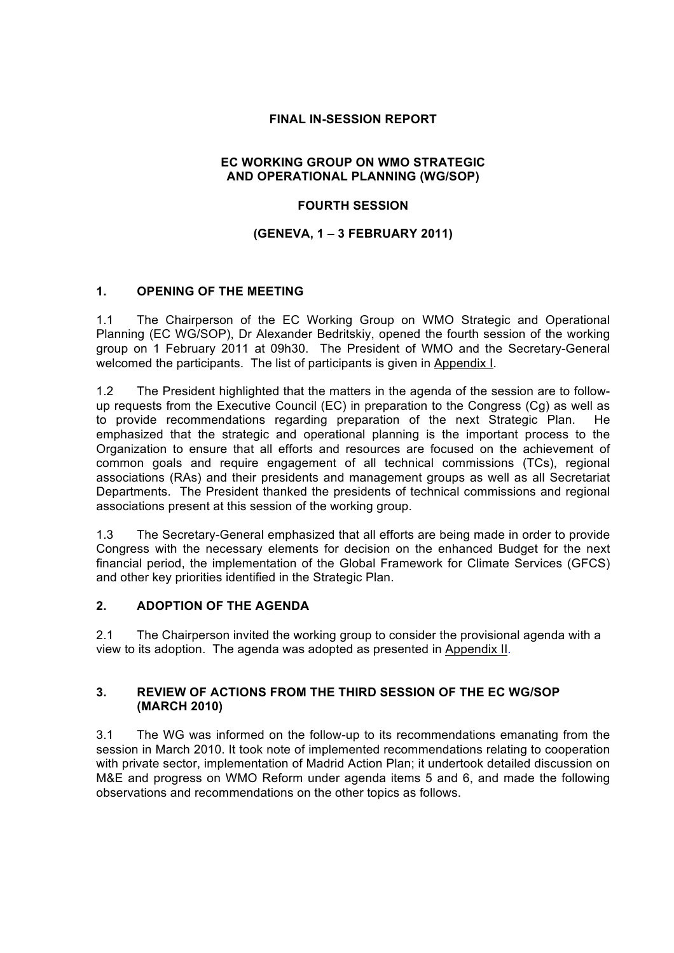## **FINAL IN-SESSION REPORT**

### **EC WORKING GROUP ON WMO STRATEGIC AND OPERATIONAL PLANNING (WG/SOP)**

## **FOURTH SESSION**

## **(GENEVA, 1 – 3 FEBRUARY 2011)**

## **1. OPENING OF THE MEETING**

1.1 The Chairperson of the EC Working Group on WMO Strategic and Operational Planning (EC WG/SOP), Dr Alexander Bedritskiy, opened the fourth session of the working group on 1 February 2011 at 09h30. The President of WMO and the Secretary-General welcomed the participants. The list of participants is given in Appendix I.

1.2 The President highlighted that the matters in the agenda of the session are to followup requests from the Executive Council (EC) in preparation to the Congress (Cg) as well as to provide recommendations regarding preparation of the next Strategic Plan. He emphasized that the strategic and operational planning is the important process to the Organization to ensure that all efforts and resources are focused on the achievement of common goals and require engagement of all technical commissions (TCs), regional associations (RAs) and their presidents and management groups as well as all Secretariat Departments. The President thanked the presidents of technical commissions and regional associations present at this session of the working group.

1.3 The Secretary-General emphasized that all efforts are being made in order to provide Congress with the necessary elements for decision on the enhanced Budget for the next financial period, the implementation of the Global Framework for Climate Services (GFCS) and other key priorities identified in the Strategic Plan.

## **2. ADOPTION OF THE AGENDA**

2.1 The Chairperson invited the working group to consider the provisional agenda with a view to its adoption. The agenda was adopted as presented in Appendix II.

### **3. REVIEW OF ACTIONS FROM THE THIRD SESSION OF THE EC WG/SOP (MARCH 2010)**

3.1 The WG was informed on the follow-up to its recommendations emanating from the session in March 2010. It took note of implemented recommendations relating to cooperation with private sector, implementation of Madrid Action Plan; it undertook detailed discussion on M&E and progress on WMO Reform under agenda items 5 and 6, and made the following observations and recommendations on the other topics as follows.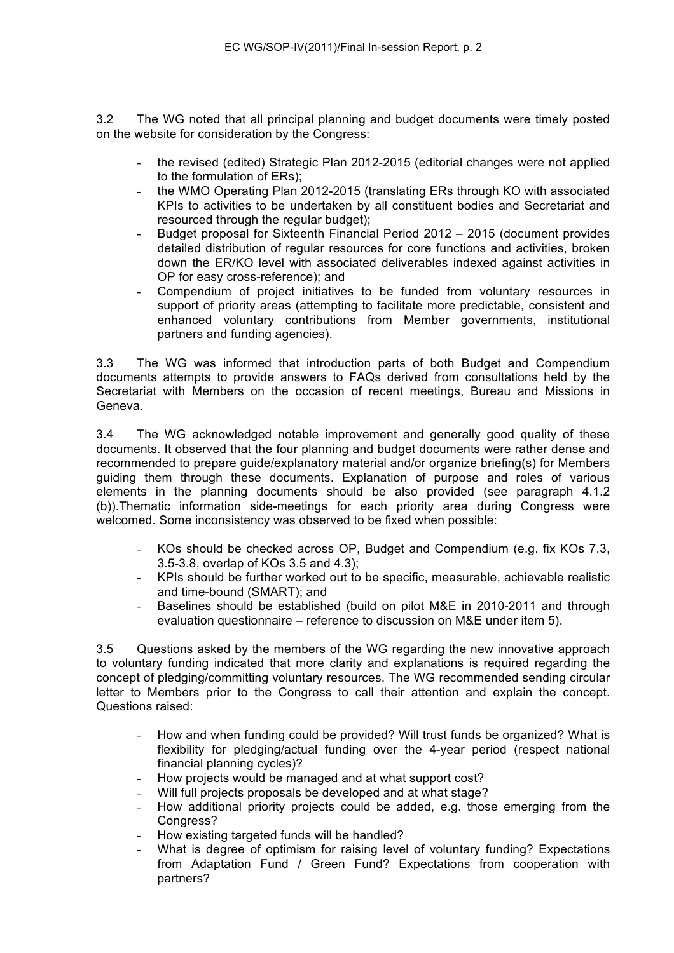3.2 The WG noted that all principal planning and budget documents were timely posted on the website for consideration by the Congress:

- the revised (edited) Strategic Plan 2012-2015 (editorial changes were not applied to the formulation of ERs);
- the WMO Operating Plan 2012-2015 (translating ERs through KO with associated KPIs to activities to be undertaken by all constituent bodies and Secretariat and resourced through the regular budget);
- Budget proposal for Sixteenth Financial Period 2012 2015 (document provides detailed distribution of regular resources for core functions and activities, broken down the ER/KO level with associated deliverables indexed against activities in OP for easy cross-reference); and
- Compendium of project initiatives to be funded from voluntary resources in support of priority areas (attempting to facilitate more predictable, consistent and enhanced voluntary contributions from Member governments, institutional partners and funding agencies).

3.3 The WG was informed that introduction parts of both Budget and Compendium documents attempts to provide answers to FAQs derived from consultations held by the Secretariat with Members on the occasion of recent meetings, Bureau and Missions in Geneva.

3.4 The WG acknowledged notable improvement and generally good quality of these documents. It observed that the four planning and budget documents were rather dense and recommended to prepare guide/explanatory material and/or organize briefing(s) for Members guiding them through these documents. Explanation of purpose and roles of various elements in the planning documents should be also provided (see paragraph 4.1.2 (b)).Thematic information side-meetings for each priority area during Congress were welcomed. Some inconsistency was observed to be fixed when possible:

- KOs should be checked across OP, Budget and Compendium (e.g. fix KOs 7.3, 3.5-3.8, overlap of KOs 3.5 and 4.3);
- KPIs should be further worked out to be specific, measurable, achievable realistic and time-bound (SMART); and
- Baselines should be established (build on pilot M&E in 2010-2011 and through evaluation questionnaire – reference to discussion on M&E under item 5).

3.5 Questions asked by the members of the WG regarding the new innovative approach to voluntary funding indicated that more clarity and explanations is required regarding the concept of pledging/committing voluntary resources. The WG recommended sending circular letter to Members prior to the Congress to call their attention and explain the concept. Questions raised:

- How and when funding could be provided? Will trust funds be organized? What is flexibility for pledging/actual funding over the 4-year period (respect national financial planning cycles)?
- How projects would be managed and at what support cost?
- Will full projects proposals be developed and at what stage?
- How additional priority projects could be added, e.g. those emerging from the Congress?
- How existing targeted funds will be handled?
- What is degree of optimism for raising level of voluntary funding? Expectations from Adaptation Fund / Green Fund? Expectations from cooperation with partners?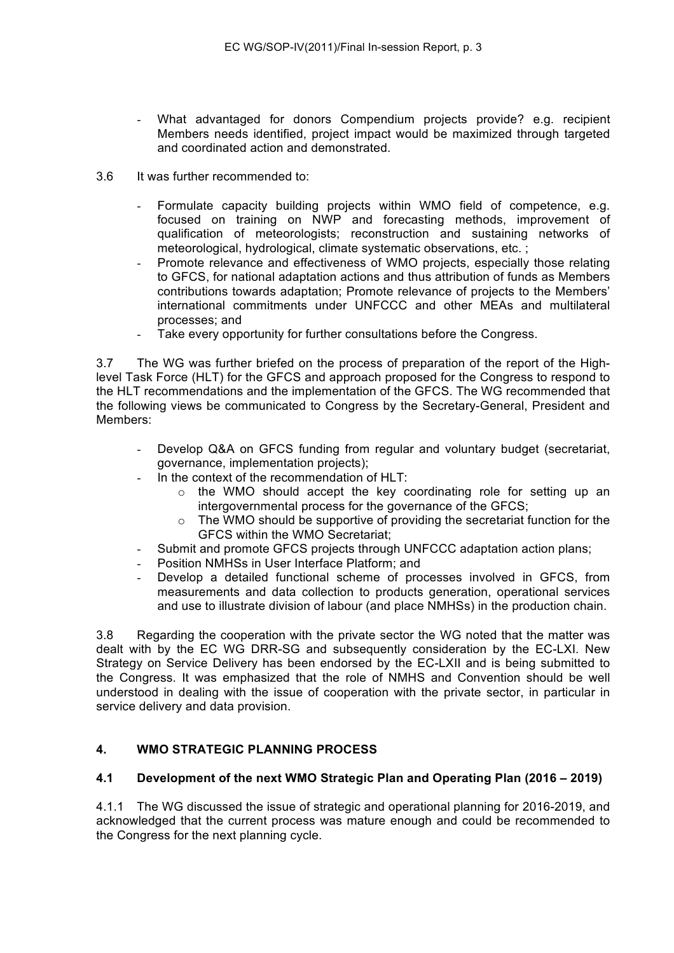- What advantaged for donors Compendium projects provide? e.g. recipient Members needs identified, project impact would be maximized through targeted and coordinated action and demonstrated.
- 3.6 It was further recommended to:
	- Formulate capacity building projects within WMO field of competence, e.g. focused on training on NWP and forecasting methods, improvement of qualification of meteorologists; reconstruction and sustaining networks of meteorological, hydrological, climate systematic observations, etc. ;
	- Promote relevance and effectiveness of WMO projects, especially those relating to GFCS, for national adaptation actions and thus attribution of funds as Members contributions towards adaptation; Promote relevance of projects to the Members' international commitments under UNFCCC and other MEAs and multilateral processes; and
	- Take every opportunity for further consultations before the Congress.

3.7 The WG was further briefed on the process of preparation of the report of the Highlevel Task Force (HLT) for the GFCS and approach proposed for the Congress to respond to the HLT recommendations and the implementation of the GFCS. The WG recommended that the following views be communicated to Congress by the Secretary-General, President and Members:

- Develop Q&A on GFCS funding from regular and voluntary budget (secretariat, governance, implementation projects);
- In the context of the recommendation of HLT:
	- $\circ$  the WMO should accept the key coordinating role for setting up an intergovernmental process for the governance of the GFCS;
	- The WMO should be supportive of providing the secretariat function for the GFCS within the WMO Secretariat;
- Submit and promote GFCS projects through UNFCCC adaptation action plans;
- Position NMHSs in User Interface Platform; and
- Develop a detailed functional scheme of processes involved in GFCS, from measurements and data collection to products generation, operational services and use to illustrate division of labour (and place NMHSs) in the production chain.

3.8 Regarding the cooperation with the private sector the WG noted that the matter was dealt with by the EC WG DRR-SG and subsequently consideration by the EC-LXI. New Strategy on Service Delivery has been endorsed by the EC-LXII and is being submitted to the Congress. It was emphasized that the role of NMHS and Convention should be well understood in dealing with the issue of cooperation with the private sector, in particular in service delivery and data provision.

## **4. WMO STRATEGIC PLANNING PROCESS**

## **4.1 Development of the next WMO Strategic Plan and Operating Plan (2016 – 2019)**

4.1.1 The WG discussed the issue of strategic and operational planning for 2016-2019, and acknowledged that the current process was mature enough and could be recommended to the Congress for the next planning cycle.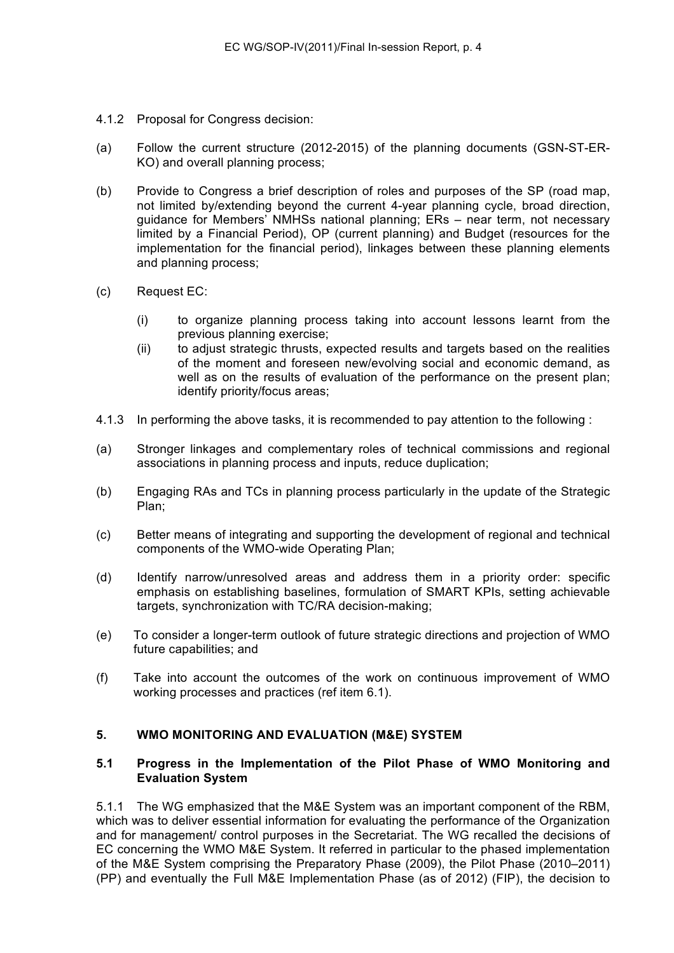- 4.1.2 Proposal for Congress decision:
- (a) Follow the current structure (2012-2015) of the planning documents (GSN-ST-ER-KO) and overall planning process;
- (b) Provide to Congress a brief description of roles and purposes of the SP (road map, not limited by/extending beyond the current 4-year planning cycle, broad direction, guidance for Members' NMHSs national planning; ERs – near term, not necessary limited by a Financial Period), OP (current planning) and Budget (resources for the implementation for the financial period), linkages between these planning elements and planning process;
- (c) Request EC:
	- (i) to organize planning process taking into account lessons learnt from the previous planning exercise;
	- (ii) to adjust strategic thrusts, expected results and targets based on the realities of the moment and foreseen new/evolving social and economic demand, as well as on the results of evaluation of the performance on the present plan; identify priority/focus areas;
- 4.1.3 In performing the above tasks, it is recommended to pay attention to the following :
- (a) Stronger linkages and complementary roles of technical commissions and regional associations in planning process and inputs, reduce duplication;
- (b) Engaging RAs and TCs in planning process particularly in the update of the Strategic Plan;
- (c) Better means of integrating and supporting the development of regional and technical components of the WMO-wide Operating Plan;
- (d) Identify narrow/unresolved areas and address them in a priority order: specific emphasis on establishing baselines, formulation of SMART KPIs, setting achievable targets, synchronization with TC/RA decision-making;
- (e) To consider a longer-term outlook of future strategic directions and projection of WMO future capabilities; and
- (f) Take into account the outcomes of the work on continuous improvement of WMO working processes and practices (ref item 6.1).

#### **5. WMO MONITORING AND EVALUATION (M&E) SYSTEM**

### **5.1 Progress in the Implementation of the Pilot Phase of WMO Monitoring and Evaluation System**

5.1.1 The WG emphasized that the M&E System was an important component of the RBM, which was to deliver essential information for evaluating the performance of the Organization and for management/ control purposes in the Secretariat. The WG recalled the decisions of EC concerning the WMO M&E System. It referred in particular to the phased implementation of the M&E System comprising the Preparatory Phase (2009), the Pilot Phase (2010–2011) (PP) and eventually the Full M&E Implementation Phase (as of 2012) (FIP), the decision to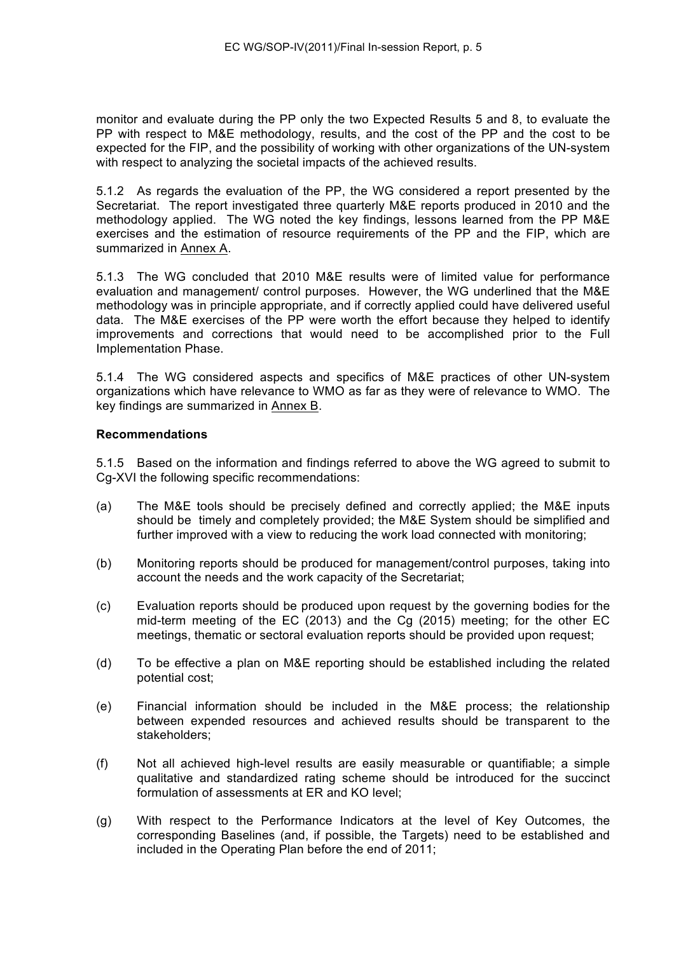monitor and evaluate during the PP only the two Expected Results 5 and 8, to evaluate the PP with respect to M&E methodology, results, and the cost of the PP and the cost to be expected for the FIP, and the possibility of working with other organizations of the UN-system with respect to analyzing the societal impacts of the achieved results.

5.1.2 As regards the evaluation of the PP, the WG considered a report presented by the Secretariat. The report investigated three quarterly M&E reports produced in 2010 and the methodology applied. The WG noted the key findings, lessons learned from the PP M&E exercises and the estimation of resource requirements of the PP and the FIP, which are summarized in Annex A.

5.1.3 The WG concluded that 2010 M&E results were of limited value for performance evaluation and management/ control purposes. However, the WG underlined that the M&E methodology was in principle appropriate, and if correctly applied could have delivered useful data. The M&E exercises of the PP were worth the effort because they helped to identify improvements and corrections that would need to be accomplished prior to the Full Implementation Phase.

5.1.4 The WG considered aspects and specifics of M&E practices of other UN-system organizations which have relevance to WMO as far as they were of relevance to WMO. The key findings are summarized in Annex B.

### **Recommendations**

5.1.5 Based on the information and findings referred to above the WG agreed to submit to Cg-XVI the following specific recommendations:

- (a) The M&E tools should be precisely defined and correctly applied; the M&E inputs should be timely and completely provided; the M&E System should be simplified and further improved with a view to reducing the work load connected with monitoring;
- (b) Monitoring reports should be produced for management/control purposes, taking into account the needs and the work capacity of the Secretariat;
- (c) Evaluation reports should be produced upon request by the governing bodies for the mid-term meeting of the EC (2013) and the Cg (2015) meeting; for the other EC meetings, thematic or sectoral evaluation reports should be provided upon request;
- (d) To be effective a plan on M&E reporting should be established including the related potential cost;
- (e) Financial information should be included in the M&E process; the relationship between expended resources and achieved results should be transparent to the stakeholders;
- (f) Not all achieved high-level results are easily measurable or quantifiable; a simple qualitative and standardized rating scheme should be introduced for the succinct formulation of assessments at ER and KO level;
- (g) With respect to the Performance Indicators at the level of Key Outcomes, the corresponding Baselines (and, if possible, the Targets) need to be established and included in the Operating Plan before the end of 2011;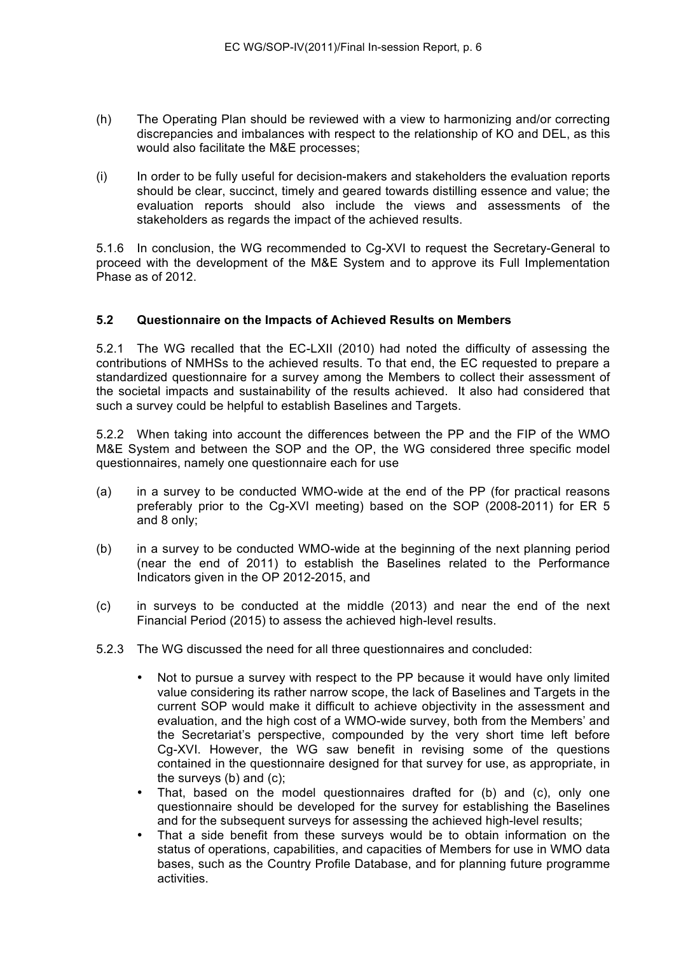- (h) The Operating Plan should be reviewed with a view to harmonizing and/or correcting discrepancies and imbalances with respect to the relationship of KO and DEL, as this would also facilitate the M&E processes;
- (i) In order to be fully useful for decision-makers and stakeholders the evaluation reports should be clear, succinct, timely and geared towards distilling essence and value; the evaluation reports should also include the views and assessments of the stakeholders as regards the impact of the achieved results.

5.1.6 In conclusion, the WG recommended to Cg-XVI to request the Secretary-General to proceed with the development of the M&E System and to approve its Full Implementation Phase as of 2012.

### **5.2 Questionnaire on the Impacts of Achieved Results on Members**

5.2.1 The WG recalled that the EC-LXII (2010) had noted the difficulty of assessing the contributions of NMHSs to the achieved results. To that end, the EC requested to prepare a standardized questionnaire for a survey among the Members to collect their assessment of the societal impacts and sustainability of the results achieved. It also had considered that such a survey could be helpful to establish Baselines and Targets.

5.2.2 When taking into account the differences between the PP and the FIP of the WMO M&E System and between the SOP and the OP, the WG considered three specific model questionnaires, namely one questionnaire each for use

- (a) in a survey to be conducted WMO-wide at the end of the PP (for practical reasons preferably prior to the Cg-XVI meeting) based on the SOP (2008-2011) for ER 5 and 8 only;
- (b) in a survey to be conducted WMO-wide at the beginning of the next planning period (near the end of 2011) to establish the Baselines related to the Performance Indicators given in the OP 2012-2015, and
- (c) in surveys to be conducted at the middle (2013) and near the end of the next Financial Period (2015) to assess the achieved high-level results.
- 5.2.3 The WG discussed the need for all three questionnaires and concluded:
	- Not to pursue a survey with respect to the PP because it would have only limited value considering its rather narrow scope, the lack of Baselines and Targets in the current SOP would make it difficult to achieve objectivity in the assessment and evaluation, and the high cost of a WMO-wide survey, both from the Members' and the Secretariat's perspective, compounded by the very short time left before Cg-XVI. However, the WG saw benefit in revising some of the questions contained in the questionnaire designed for that survey for use, as appropriate, in the surveys (b) and (c);
	- That, based on the model questionnaires drafted for (b) and (c), only one questionnaire should be developed for the survey for establishing the Baselines and for the subsequent surveys for assessing the achieved high-level results;
	- That a side benefit from these surveys would be to obtain information on the status of operations, capabilities, and capacities of Members for use in WMO data bases, such as the Country Profile Database, and for planning future programme activities.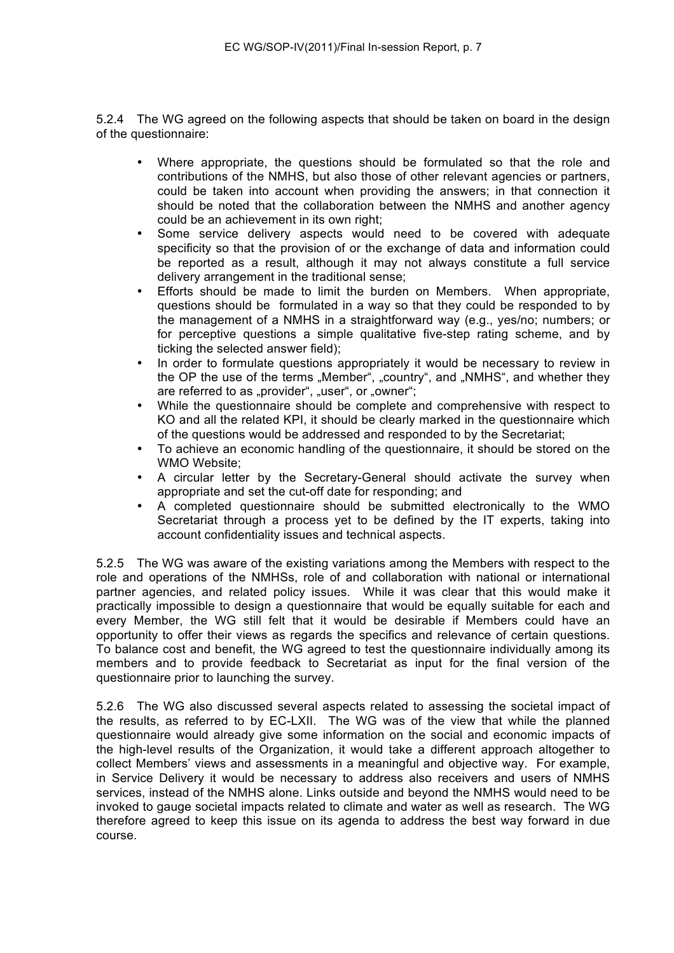5.2.4 The WG agreed on the following aspects that should be taken on board in the design of the questionnaire:

- Where appropriate, the questions should be formulated so that the role and contributions of the NMHS, but also those of other relevant agencies or partners, could be taken into account when providing the answers; in that connection it should be noted that the collaboration between the NMHS and another agency could be an achievement in its own right;
- Some service delivery aspects would need to be covered with adequate specificity so that the provision of or the exchange of data and information could be reported as a result, although it may not always constitute a full service delivery arrangement in the traditional sense;
- Efforts should be made to limit the burden on Members. When appropriate, questions should be formulated in a way so that they could be responded to by the management of a NMHS in a straightforward way (e.g., yes/no; numbers; or for perceptive questions a simple qualitative five-step rating scheme, and by ticking the selected answer field);
- In order to formulate questions appropriately it would be necessary to review in the OP the use of the terms "Member", "country", and "NMHS", and whether they are referred to as "provider", "user", or "owner";
- While the questionnaire should be complete and comprehensive with respect to KO and all the related KPI, it should be clearly marked in the questionnaire which of the questions would be addressed and responded to by the Secretariat;
- To achieve an economic handling of the questionnaire, it should be stored on the WMO Website;
- A circular letter by the Secretary-General should activate the survey when appropriate and set the cut-off date for responding; and
- A completed questionnaire should be submitted electronically to the WMO Secretariat through a process yet to be defined by the IT experts, taking into account confidentiality issues and technical aspects.

5.2.5 The WG was aware of the existing variations among the Members with respect to the role and operations of the NMHSs, role of and collaboration with national or international partner agencies, and related policy issues. While it was clear that this would make it practically impossible to design a questionnaire that would be equally suitable for each and every Member, the WG still felt that it would be desirable if Members could have an opportunity to offer their views as regards the specifics and relevance of certain questions. To balance cost and benefit, the WG agreed to test the questionnaire individually among its members and to provide feedback to Secretariat as input for the final version of the questionnaire prior to launching the survey.

5.2.6 The WG also discussed several aspects related to assessing the societal impact of the results, as referred to by EC-LXII. The WG was of the view that while the planned questionnaire would already give some information on the social and economic impacts of the high-level results of the Organization, it would take a different approach altogether to collect Members' views and assessments in a meaningful and objective way. For example, in Service Delivery it would be necessary to address also receivers and users of NMHS services, instead of the NMHS alone. Links outside and beyond the NMHS would need to be invoked to gauge societal impacts related to climate and water as well as research. The WG therefore agreed to keep this issue on its agenda to address the best way forward in due course.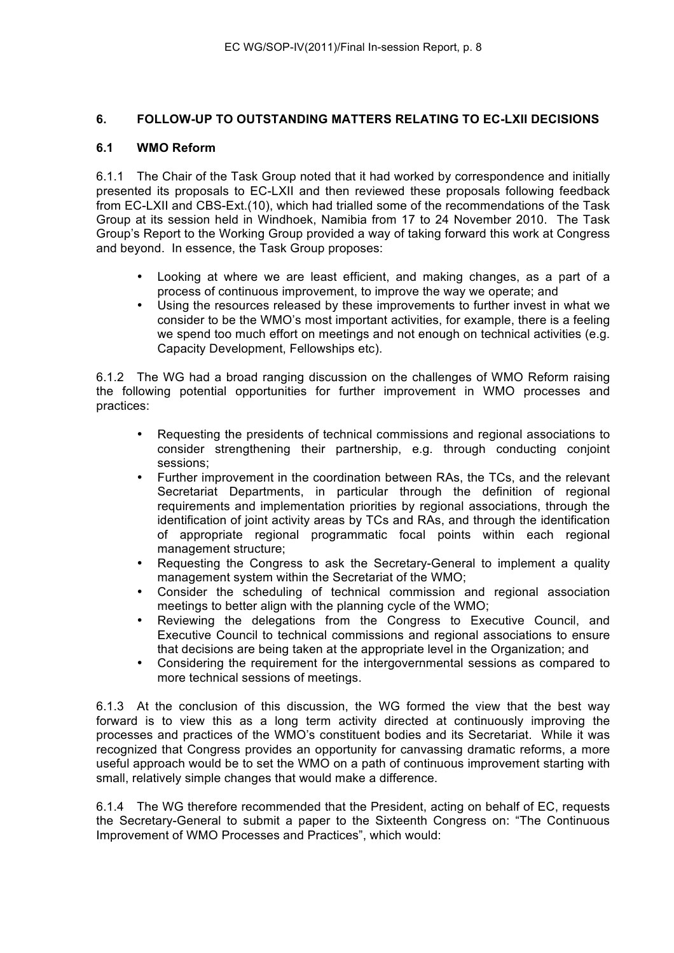## **6. FOLLOW-UP TO OUTSTANDING MATTERS RELATING TO EC-LXII DECISIONS**

## **6.1 WMO Reform**

6.1.1 The Chair of the Task Group noted that it had worked by correspondence and initially presented its proposals to EC-LXII and then reviewed these proposals following feedback from EC-LXII and CBS-Ext.(10), which had trialled some of the recommendations of the Task Group at its session held in Windhoek, Namibia from 17 to 24 November 2010. The Task Group's Report to the Working Group provided a way of taking forward this work at Congress and beyond. In essence, the Task Group proposes:

- Looking at where we are least efficient, and making changes, as a part of a process of continuous improvement, to improve the way we operate; and
- Using the resources released by these improvements to further invest in what we consider to be the WMO's most important activities, for example, there is a feeling we spend too much effort on meetings and not enough on technical activities (e.g. Capacity Development, Fellowships etc).

6.1.2 The WG had a broad ranging discussion on the challenges of WMO Reform raising the following potential opportunities for further improvement in WMO processes and practices:

- Requesting the presidents of technical commissions and regional associations to consider strengthening their partnership, e.g. through conducting conjoint sessions;
- Further improvement in the coordination between RAs, the TCs, and the relevant Secretariat Departments, in particular through the definition of regional requirements and implementation priorities by regional associations, through the identification of joint activity areas by TCs and RAs, and through the identification of appropriate regional programmatic focal points within each regional management structure;
- Requesting the Congress to ask the Secretary-General to implement a quality management system within the Secretariat of the WMO;
- Consider the scheduling of technical commission and regional association meetings to better align with the planning cycle of the WMO;
- Reviewing the delegations from the Congress to Executive Council, and Executive Council to technical commissions and regional associations to ensure that decisions are being taken at the appropriate level in the Organization; and
- Considering the requirement for the intergovernmental sessions as compared to more technical sessions of meetings.

6.1.3 At the conclusion of this discussion, the WG formed the view that the best way forward is to view this as a long term activity directed at continuously improving the processes and practices of the WMO's constituent bodies and its Secretariat. While it was recognized that Congress provides an opportunity for canvassing dramatic reforms, a more useful approach would be to set the WMO on a path of continuous improvement starting with small, relatively simple changes that would make a difference.

6.1.4 The WG therefore recommended that the President, acting on behalf of EC, requests the Secretary-General to submit a paper to the Sixteenth Congress on: "The Continuous Improvement of WMO Processes and Practices", which would: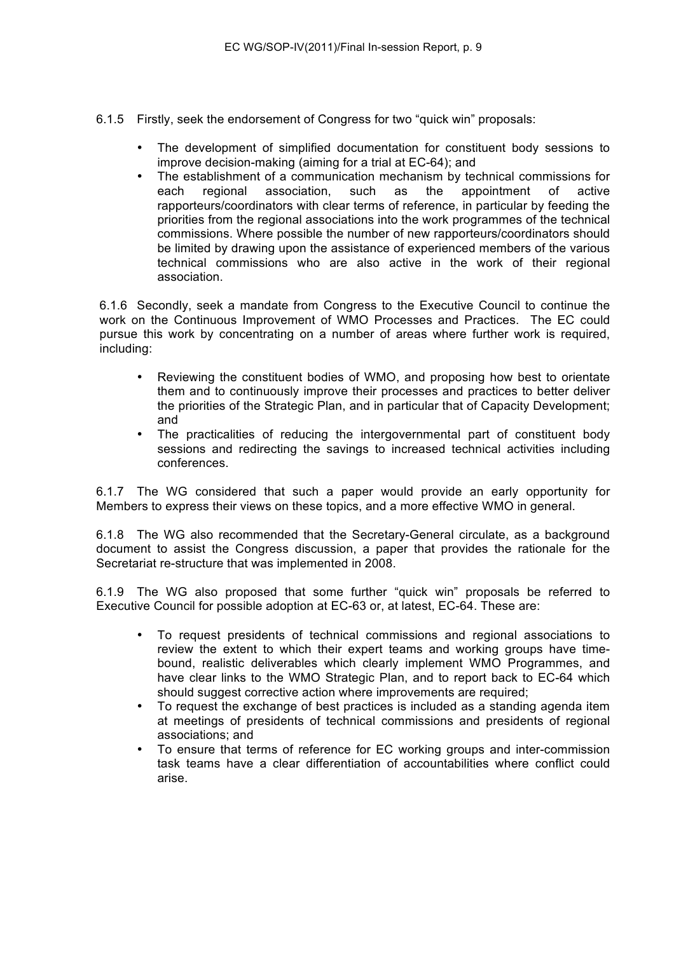- 6.1.5 Firstly, seek the endorsement of Congress for two "quick win" proposals:
	- The development of simplified documentation for constituent body sessions to improve decision-making (aiming for a trial at EC-64); and
	- The establishment of a communication mechanism by technical commissions for each regional association, such as the appointment of active each regional association, such as the appointment of active rapporteurs/coordinators with clear terms of reference, in particular by feeding the priorities from the regional associations into the work programmes of the technical commissions. Where possible the number of new rapporteurs/coordinators should be limited by drawing upon the assistance of experienced members of the various technical commissions who are also active in the work of their regional association.

6.1.6 Secondly, seek a mandate from Congress to the Executive Council to continue the work on the Continuous Improvement of WMO Processes and Practices. The EC could pursue this work by concentrating on a number of areas where further work is required, including:

- Reviewing the constituent bodies of WMO, and proposing how best to orientate them and to continuously improve their processes and practices to better deliver the priorities of the Strategic Plan, and in particular that of Capacity Development; and
- The practicalities of reducing the intergovernmental part of constituent body sessions and redirecting the savings to increased technical activities including conferences.

6.1.7 The WG considered that such a paper would provide an early opportunity for Members to express their views on these topics, and a more effective WMO in general.

6.1.8 The WG also recommended that the Secretary-General circulate, as a background document to assist the Congress discussion, a paper that provides the rationale for the Secretariat re-structure that was implemented in 2008.

6.1.9 The WG also proposed that some further "quick win" proposals be referred to Executive Council for possible adoption at EC-63 or, at latest, EC-64. These are:

- To request presidents of technical commissions and regional associations to review the extent to which their expert teams and working groups have timebound, realistic deliverables which clearly implement WMO Programmes, and have clear links to the WMO Strategic Plan, and to report back to EC-64 which should suggest corrective action where improvements are required;
- To request the exchange of best practices is included as a standing agenda item at meetings of presidents of technical commissions and presidents of regional associations; and
- To ensure that terms of reference for EC working groups and inter-commission task teams have a clear differentiation of accountabilities where conflict could arise.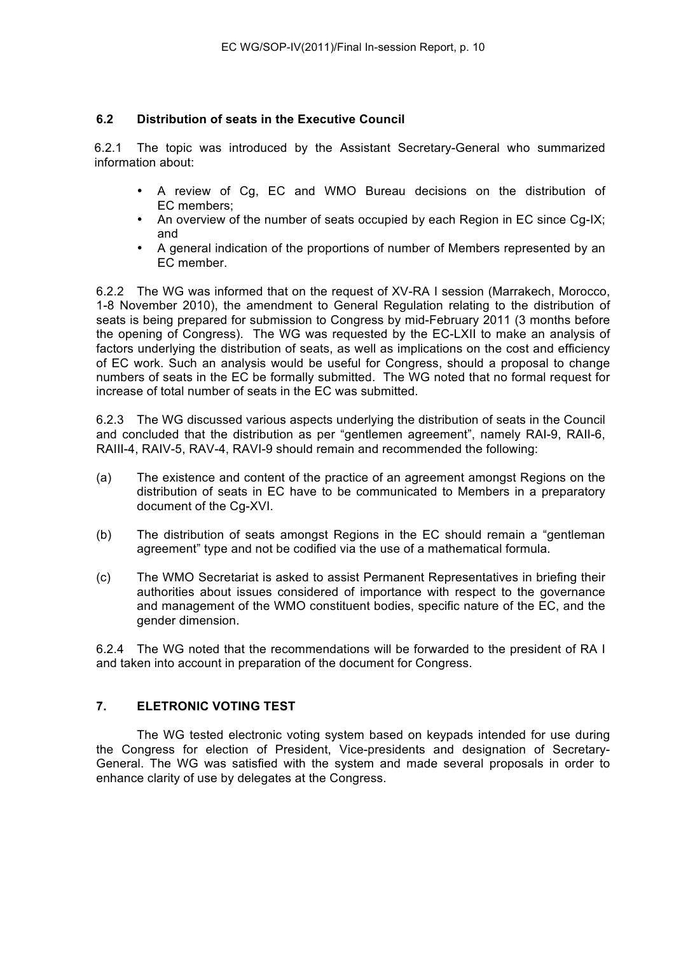## **6.2 Distribution of seats in the Executive Council**

6.2.1 The topic was introduced by the Assistant Secretary-General who summarized information about:

- A review of Cg, EC and WMO Bureau decisions on the distribution of EC members;
- An overview of the number of seats occupied by each Region in EC since Cg-IX; and
- A general indication of the proportions of number of Members represented by an EC member.

6.2.2 The WG was informed that on the request of XV-RA I session (Marrakech, Morocco, 1-8 November 2010), the amendment to General Regulation relating to the distribution of seats is being prepared for submission to Congress by mid-February 2011 (3 months before the opening of Congress). The WG was requested by the EC-LXII to make an analysis of factors underlying the distribution of seats, as well as implications on the cost and efficiency of EC work. Such an analysis would be useful for Congress, should a proposal to change numbers of seats in the EC be formally submitted. The WG noted that no formal request for increase of total number of seats in the EC was submitted.

6.2.3 The WG discussed various aspects underlying the distribution of seats in the Council and concluded that the distribution as per "gentlemen agreement", namely RAI-9, RAII-6, RAIII-4, RAIV-5, RAV-4, RAVI-9 should remain and recommended the following:

- (a) The existence and content of the practice of an agreement amongst Regions on the distribution of seats in EC have to be communicated to Members in a preparatory document of the Cg-XVI.
- (b) The distribution of seats amongst Regions in the EC should remain a "gentleman agreement" type and not be codified via the use of a mathematical formula.
- (c) The WMO Secretariat is asked to assist Permanent Representatives in briefing their authorities about issues considered of importance with respect to the governance and management of the WMO constituent bodies, specific nature of the EC, and the gender dimension.

6.2.4 The WG noted that the recommendations will be forwarded to the president of RA I and taken into account in preparation of the document for Congress.

## **7. ELETRONIC VOTING TEST**

The WG tested electronic voting system based on keypads intended for use during the Congress for election of President, Vice-presidents and designation of Secretary-General. The WG was satisfied with the system and made several proposals in order to enhance clarity of use by delegates at the Congress.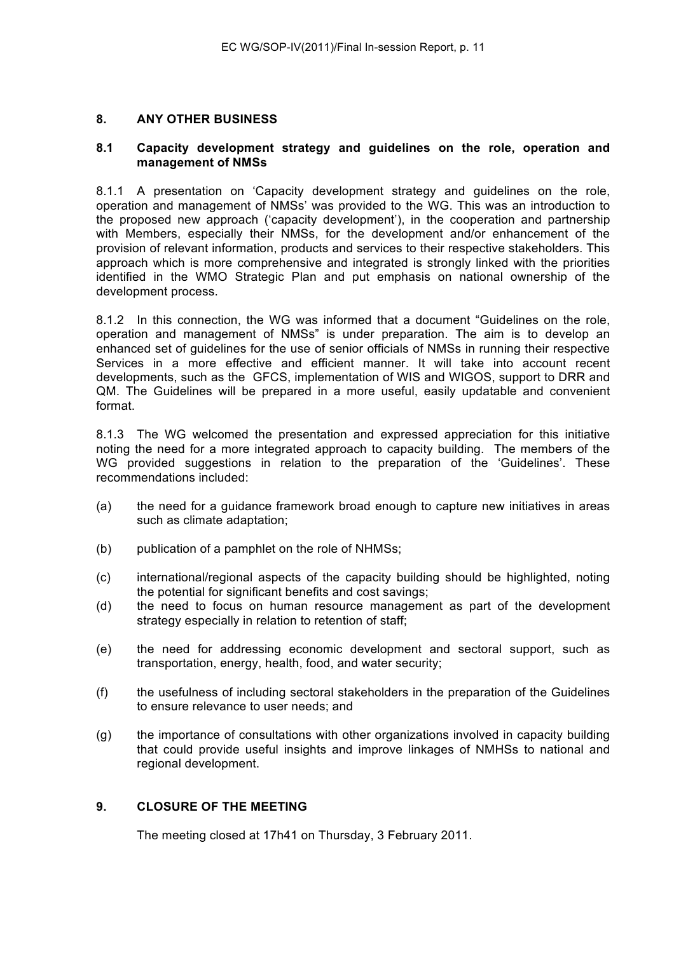### **8. ANY OTHER BUSINESS**

### **8.1 Capacity development strategy and guidelines on the role, operation and management of NMSs**

8.1.1 A presentation on 'Capacity development strategy and guidelines on the role, operation and management of NMSs' was provided to the WG. This was an introduction to the proposed new approach ('capacity development'), in the cooperation and partnership with Members, especially their NMSs, for the development and/or enhancement of the provision of relevant information, products and services to their respective stakeholders. This approach which is more comprehensive and integrated is strongly linked with the priorities identified in the WMO Strategic Plan and put emphasis on national ownership of the development process.

8.1.2 In this connection, the WG was informed that a document "Guidelines on the role, operation and management of NMSs" is under preparation. The aim is to develop an enhanced set of guidelines for the use of senior officials of NMSs in running their respective Services in a more effective and efficient manner. It will take into account recent developments, such as the GFCS, implementation of WIS and WIGOS, support to DRR and QM. The Guidelines will be prepared in a more useful, easily updatable and convenient format.

8.1.3 The WG welcomed the presentation and expressed appreciation for this initiative noting the need for a more integrated approach to capacity building. The members of the WG provided suggestions in relation to the preparation of the 'Guidelines'. These recommendations included:

- (a) the need for a guidance framework broad enough to capture new initiatives in areas such as climate adaptation;
- (b) publication of a pamphlet on the role of NHMSs;
- (c) international/regional aspects of the capacity building should be highlighted, noting the potential for significant benefits and cost savings;
- (d) the need to focus on human resource management as part of the development strategy especially in relation to retention of staff;
- (e) the need for addressing economic development and sectoral support, such as transportation, energy, health, food, and water security;
- (f) the usefulness of including sectoral stakeholders in the preparation of the Guidelines to ensure relevance to user needs; and
- (g) the importance of consultations with other organizations involved in capacity building that could provide useful insights and improve linkages of NMHSs to national and regional development.

## **9. CLOSURE OF THE MEETING**

The meeting closed at 17h41 on Thursday, 3 February 2011.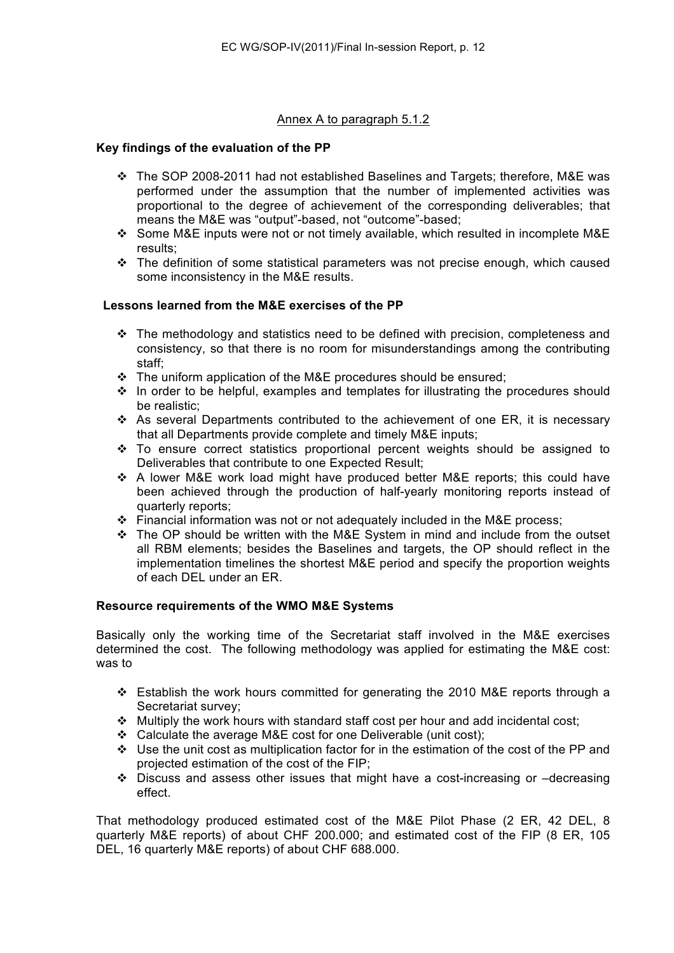## Annex A to paragraph 5.1.2

### **Key findings of the evaluation of the PP**

- The SOP 2008-2011 had not established Baselines and Targets; therefore, M&E was performed under the assumption that the number of implemented activities was proportional to the degree of achievement of the corresponding deliverables; that means the M&E was "output"-based, not "outcome"-based;
- Some M&E inputs were not or not timely available, which resulted in incomplete M&E results;
- \* The definition of some statistical parameters was not precise enough, which caused some inconsistency in the M&E results.

### **Lessons learned from the M&E exercises of the PP**

- $\div$  The methodology and statistics need to be defined with precision, completeness and consistency, so that there is no room for misunderstandings among the contributing staff;
- \* The uniform application of the M&E procedures should be ensured;
- ❖ In order to be helpful, examples and templates for illustrating the procedures should be realistic;
- As several Departments contributed to the achievement of one ER, it is necessary that all Departments provide complete and timely M&E inputs;
- $\div$  To ensure correct statistics proportional percent weights should be assigned to Deliverables that contribute to one Expected Result;
- \* A lower M&E work load might have produced better M&E reports; this could have been achieved through the production of half-yearly monitoring reports instead of quarterly reports;
- Financial information was not or not adequately included in the M&E process;
- \* The OP should be written with the M&E System in mind and include from the outset all RBM elements; besides the Baselines and targets, the OP should reflect in the implementation timelines the shortest M&E period and specify the proportion weights of each DEL under an ER.

#### **Resource requirements of the WMO M&E Systems**

Basically only the working time of the Secretariat staff involved in the M&E exercises determined the cost. The following methodology was applied for estimating the M&E cost: was to

- Establish the work hours committed for generating the 2010 M&E reports through a Secretariat survey;
- $\div$  Multiply the work hours with standard staff cost per hour and add incidental cost;
- $\div$  Calculate the average M&E cost for one Deliverable (unit cost);
- Use the unit cost as multiplication factor for in the estimation of the cost of the PP and projected estimation of the cost of the FIP;
- $\div$  Discuss and assess other issues that might have a cost-increasing or -decreasing effect.

That methodology produced estimated cost of the M&E Pilot Phase (2 ER, 42 DEL, 8 quarterly M&E reports) of about CHF 200.000; and estimated cost of the FIP (8 ER, 105 DEL, 16 quarterly M&E reports) of about CHF 688.000.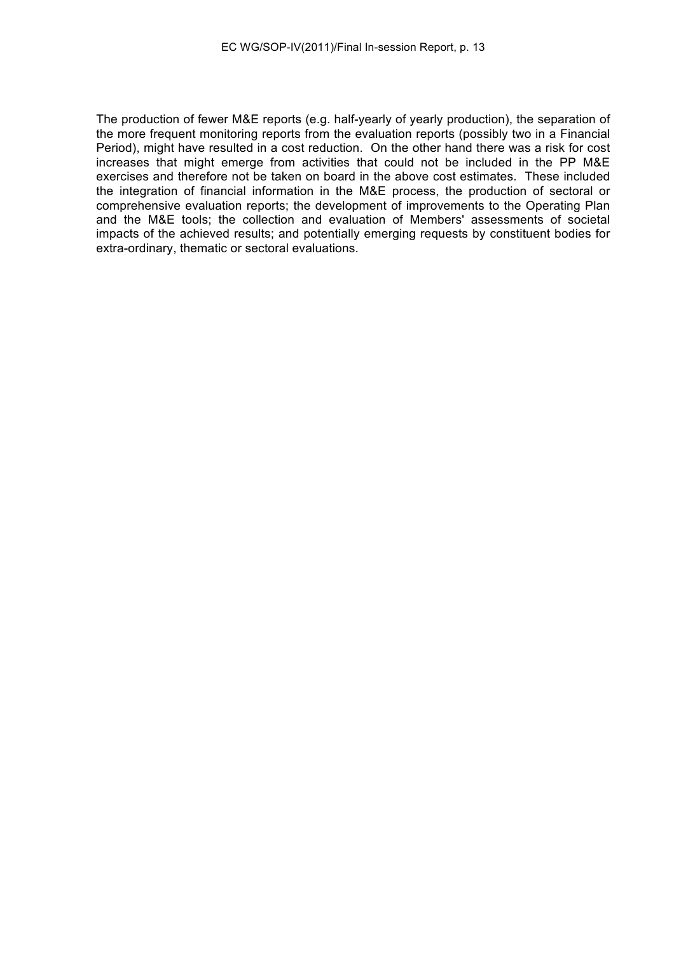The production of fewer M&E reports (e.g. half-yearly of yearly production), the separation of the more frequent monitoring reports from the evaluation reports (possibly two in a Financial Period), might have resulted in a cost reduction. On the other hand there was a risk for cost increases that might emerge from activities that could not be included in the PP M&E exercises and therefore not be taken on board in the above cost estimates. These included the integration of financial information in the M&E process, the production of sectoral or comprehensive evaluation reports; the development of improvements to the Operating Plan and the M&E tools; the collection and evaluation of Members' assessments of societal impacts of the achieved results; and potentially emerging requests by constituent bodies for extra-ordinary, thematic or sectoral evaluations.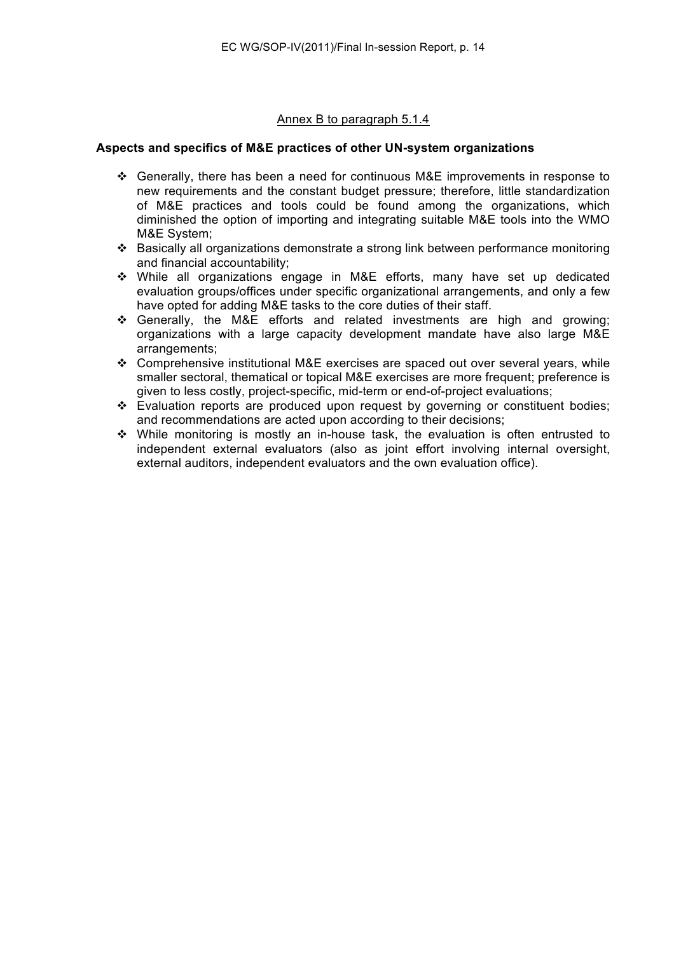## Annex B to paragraph 5.1.4

### **Aspects and specifics of M&E practices of other UN-system organizations**

- Generally, there has been a need for continuous M&E improvements in response to new requirements and the constant budget pressure; therefore, little standardization of M&E practices and tools could be found among the organizations, which diminished the option of importing and integrating suitable M&E tools into the WMO M&E System;
- Basically all organizations demonstrate a strong link between performance monitoring and financial accountability;
- While all organizations engage in M&E efforts, many have set up dedicated evaluation groups/offices under specific organizational arrangements, and only a few have opted for adding M&E tasks to the core duties of their staff.
- $\div$  Generally, the M&E efforts and related investments are high and growing; organizations with a large capacity development mandate have also large M&E arrangements;
- Comprehensive institutional M&E exercises are spaced out over several years, while smaller sectoral, thematical or topical M&E exercises are more frequent; preference is given to less costly, project-specific, mid-term or end-of-project evaluations;
- Evaluation reports are produced upon request by governing or constituent bodies; and recommendations are acted upon according to their decisions;
- While monitoring is mostly an in-house task, the evaluation is often entrusted to independent external evaluators (also as joint effort involving internal oversight, external auditors, independent evaluators and the own evaluation office).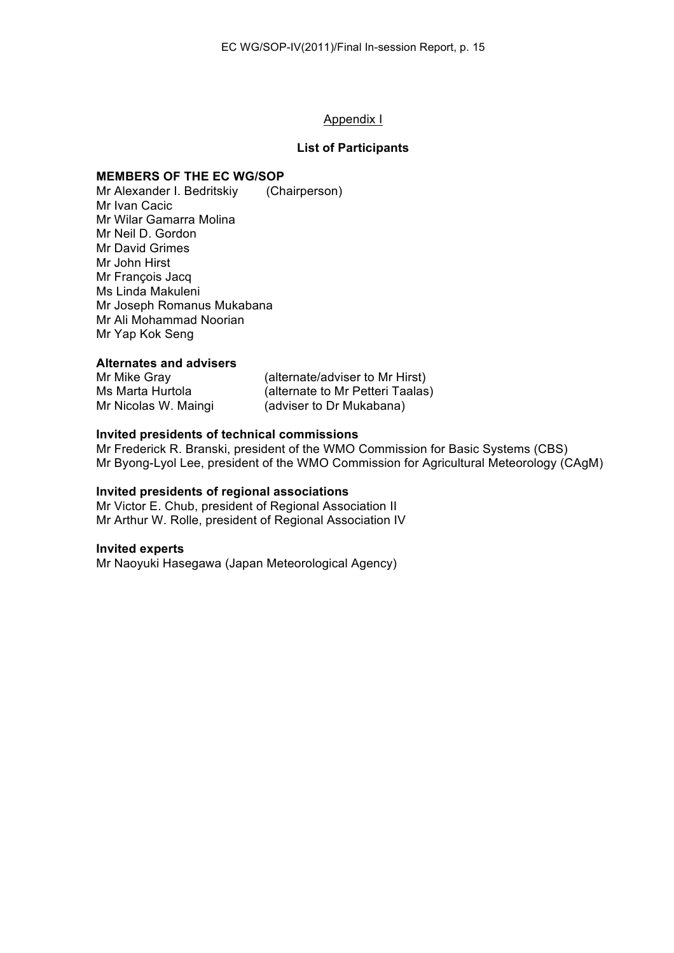#### Appendix I

#### **List of Participants**

#### **MEMBERS OF THE EC WG/SOP**

Mr Alexander I. Bedritskiy (Chairperson) Mr Ivan Cacic Mr Wilar Gamarra Molina Mr Neil D. Gordon Mr David Grimes Mr John Hirst Mr François Jacq Ms Linda Makuleni Mr Joseph Romanus Mukabana Mr Ali Mohammad Noorian Mr Yap Kok Seng

#### **Alternates and advisers**

| Mr Mike Gray         | (alternate/adviser to Mr Hirst)  |
|----------------------|----------------------------------|
| Ms Marta Hurtola     | (alternate to Mr Petteri Taalas) |
| Mr Nicolas W. Maingi | (adviser to Dr Mukabana)         |

#### **Invited presidents of technical commissions**

Mr Frederick R. Branski, president of the WMO Commission for Basic Systems (CBS) Mr Byong-Lyol Lee, president of the WMO Commission for Agricultural Meteorology (CAgM)

#### **Invited presidents of regional associations**

Mr Victor E. Chub, president of Regional Association II Mr Arthur W. Rolle, president of Regional Association IV

#### **Invited experts**

Mr Naoyuki Hasegawa (Japan Meteorological Agency)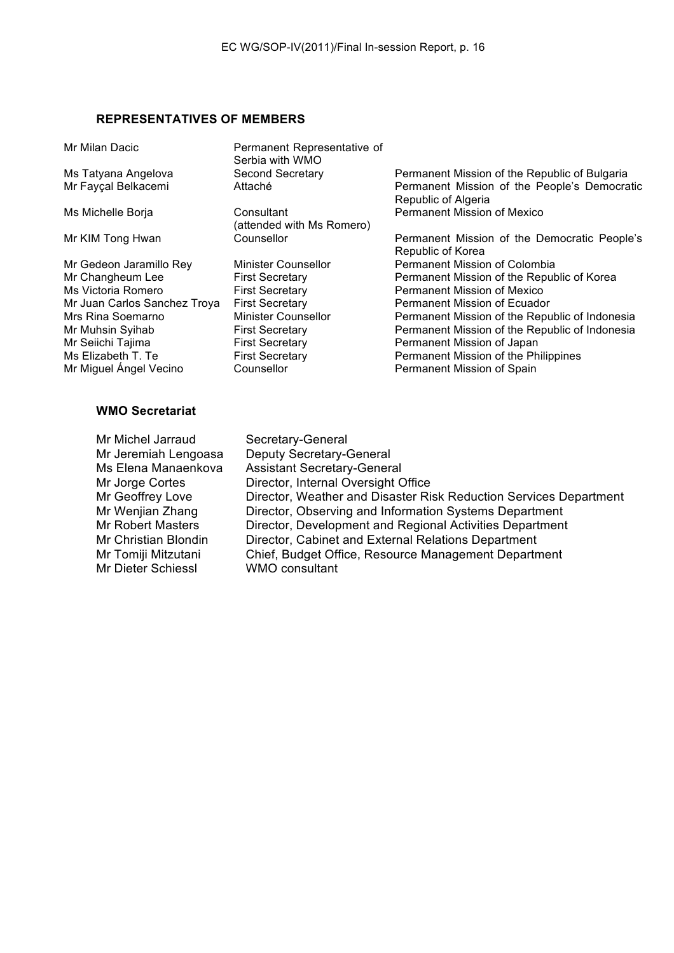# **REPRESENTATIVES OF MEMBERS**

| Mr Milan Dacic               | Permanent Representative of<br>Serbia with WMO |                                                                     |
|------------------------------|------------------------------------------------|---------------------------------------------------------------------|
| Ms Tatyana Angelova          | Second Secretary                               | Permanent Mission of the Republic of Bulgaria                       |
| Mr Fayçal Belkacemi          | Attaché                                        | Permanent Mission of the People's Democratic<br>Republic of Algeria |
| Ms Michelle Borja            | Consultant<br>(attended with Ms Romero)        | <b>Permanent Mission of Mexico</b>                                  |
| Mr KIM Tong Hwan             | Counsellor                                     | Permanent Mission of the Democratic People's<br>Republic of Korea   |
| Mr Gedeon Jaramillo Rey      | Minister Counsellor                            | Permanent Mission of Colombia                                       |
| Mr Changheum Lee             | <b>First Secretary</b>                         | Permanent Mission of the Republic of Korea                          |
| Ms Victoria Romero           | <b>First Secretary</b>                         | Permanent Mission of Mexico                                         |
| Mr Juan Carlos Sanchez Troya | <b>First Secretary</b>                         | Permanent Mission of Ecuador                                        |
| Mrs Rina Soemarno            | Minister Counsellor                            | Permanent Mission of the Republic of Indonesia                      |
| Mr Muhsin Syihab             | <b>First Secretary</b>                         | Permanent Mission of the Republic of Indonesia                      |
| Mr Seiichi Tajima            | <b>First Secretary</b>                         | Permanent Mission of Japan                                          |
| Ms Elizabeth T. Te           | <b>First Secretary</b>                         | Permanent Mission of the Philippines                                |
| Mr Miguel Ángel Vecino       | Counsellor                                     | Permanent Mission of Spain                                          |
|                              |                                                |                                                                     |

## **WMO Secretariat**

| Mr Michel Jarraud         | Secretary-General                                                 |
|---------------------------|-------------------------------------------------------------------|
| Mr Jeremiah Lengoasa      | <b>Deputy Secretary-General</b>                                   |
| Ms Elena Manaenkova       | <b>Assistant Secretary-General</b>                                |
| Mr Jorge Cortes           | Director, Internal Oversight Office                               |
| Mr Geoffrey Love          | Director, Weather and Disaster Risk Reduction Services Department |
| Mr Wenjian Zhang          | Director, Observing and Information Systems Department            |
| <b>Mr Robert Masters</b>  | Director, Development and Regional Activities Department          |
| Mr Christian Blondin      | Director, Cabinet and External Relations Department               |
| Mr Tomiji Mitzutani       | Chief, Budget Office, Resource Management Department              |
| <b>Mr Dieter Schiessl</b> | WMO consultant                                                    |